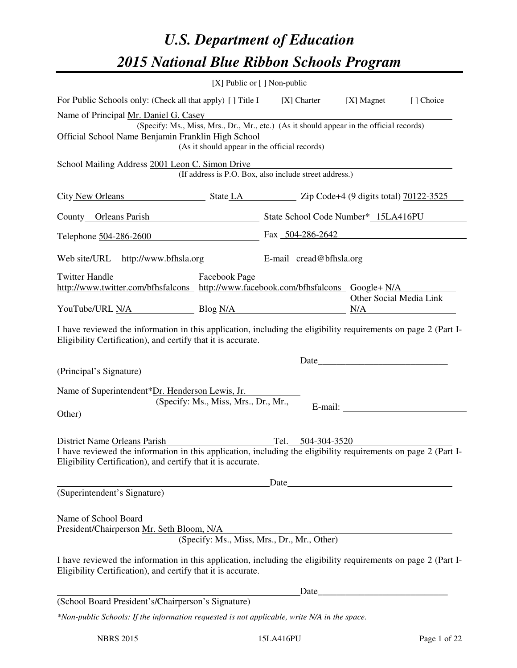# *U.S. Department of Education 2015 National Blue Ribbon Schools Program*

|                                                                                                                                                                                                                                                              | $[X]$ Public or $[ ]$ Non-public              |                                                                                          |                         |           |
|--------------------------------------------------------------------------------------------------------------------------------------------------------------------------------------------------------------------------------------------------------------|-----------------------------------------------|------------------------------------------------------------------------------------------|-------------------------|-----------|
| For Public Schools only: (Check all that apply) [] Title I [X] Charter [X] Magnet                                                                                                                                                                            |                                               |                                                                                          |                         | [] Choice |
| Name of Principal Mr. Daniel G. Casey<br>Official School Name Benjamin Franklin High School                                                                                                                                                                  | (As it should appear in the official records) | (Specify: Ms., Miss, Mrs., Dr., Mr., etc.) (As it should appear in the official records) |                         |           |
| School Mailing Address 2001 Leon C. Simon Drive                                                                                                                                                                                                              |                                               | (If address is P.O. Box, also include street address.)                                   |                         |           |
| City New Orleans State LA State LA State LA State 19 digits total 70122-3525                                                                                                                                                                                 |                                               |                                                                                          |                         |           |
| County Orleans Parish State School Code Number* 15LA416PU                                                                                                                                                                                                    |                                               |                                                                                          |                         |           |
| Telephone 504-286-2600 Fax 504-286-2642                                                                                                                                                                                                                      |                                               |                                                                                          |                         |           |
| Web site/URL http://www.bfhsla.org E-mail cread@bfhsla.org                                                                                                                                                                                                   |                                               |                                                                                          |                         |           |
| <b>Twitter Handle</b><br>http://www.twitter.com/bfhsfalcons http://www.facebook.com/bfhsfalcons Google+ N/A                                                                                                                                                  | Facebook Page                                 |                                                                                          | Other Social Media Link |           |
| YouTube/URL N/A Blog N/A                                                                                                                                                                                                                                     |                                               |                                                                                          |                         | N/A       |
| I have reviewed the information in this application, including the eligibility requirements on page 2 (Part I-<br>Eligibility Certification), and certify that it is accurate.<br>(Principal's Signature)<br>Name of Superintendent*Dr. Henderson Lewis, Jr. | (Specify: Ms., Miss, Mrs., Dr., Mr.,          |                                                                                          |                         |           |
| Other)<br>District Name Orleans Parish<br>I have reviewed the information in this application, including the eligibility requirements on page 2 (Part I-<br>Eligibility Certification), and certify that it is accurate.                                     |                                               | Tel. 504-304-3520                                                                        |                         |           |
| (Superintendent's Signature)                                                                                                                                                                                                                                 |                                               |                                                                                          |                         |           |
| Name of School Board<br>President/Chairperson Mr. Seth Bloom, N/A<br>I have reviewed the information in this application, including the eligibility requirements on page 2 (Part I-<br>Eligibility Certification), and certify that it is accurate.          |                                               | (Specify: Ms., Miss, Mrs., Dr., Mr., Other)                                              |                         |           |
|                                                                                                                                                                                                                                                              |                                               |                                                                                          |                         |           |
| (School Board President's/Chairperson's Signature)                                                                                                                                                                                                           |                                               |                                                                                          |                         |           |
| *Non-public Schools: If the information requested is not applicable, write N/A in the space.                                                                                                                                                                 |                                               |                                                                                          |                         |           |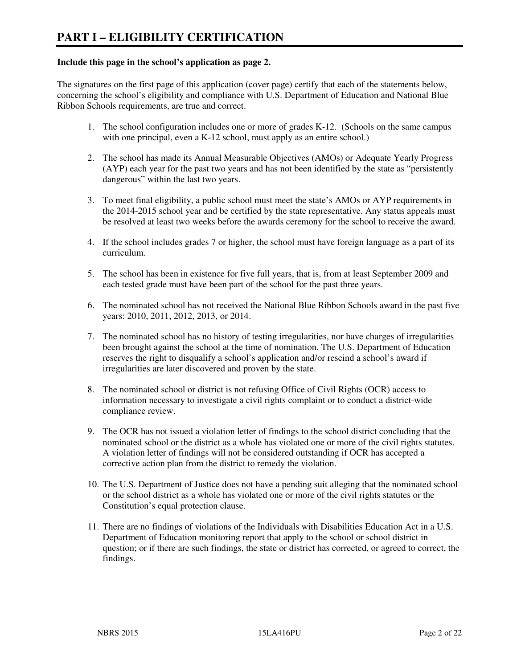#### **Include this page in the school's application as page 2.**

The signatures on the first page of this application (cover page) certify that each of the statements below, concerning the school's eligibility and compliance with U.S. Department of Education and National Blue Ribbon Schools requirements, are true and correct.

- 1. The school configuration includes one or more of grades K-12. (Schools on the same campus with one principal, even a K-12 school, must apply as an entire school.)
- 2. The school has made its Annual Measurable Objectives (AMOs) or Adequate Yearly Progress (AYP) each year for the past two years and has not been identified by the state as "persistently dangerous" within the last two years.
- 3. To meet final eligibility, a public school must meet the state's AMOs or AYP requirements in the 2014-2015 school year and be certified by the state representative. Any status appeals must be resolved at least two weeks before the awards ceremony for the school to receive the award.
- 4. If the school includes grades 7 or higher, the school must have foreign language as a part of its curriculum.
- 5. The school has been in existence for five full years, that is, from at least September 2009 and each tested grade must have been part of the school for the past three years.
- 6. The nominated school has not received the National Blue Ribbon Schools award in the past five years: 2010, 2011, 2012, 2013, or 2014.
- 7. The nominated school has no history of testing irregularities, nor have charges of irregularities been brought against the school at the time of nomination. The U.S. Department of Education reserves the right to disqualify a school's application and/or rescind a school's award if irregularities are later discovered and proven by the state.
- 8. The nominated school or district is not refusing Office of Civil Rights (OCR) access to information necessary to investigate a civil rights complaint or to conduct a district-wide compliance review.
- 9. The OCR has not issued a violation letter of findings to the school district concluding that the nominated school or the district as a whole has violated one or more of the civil rights statutes. A violation letter of findings will not be considered outstanding if OCR has accepted a corrective action plan from the district to remedy the violation.
- 10. The U.S. Department of Justice does not have a pending suit alleging that the nominated school or the school district as a whole has violated one or more of the civil rights statutes or the Constitution's equal protection clause.
- 11. There are no findings of violations of the Individuals with Disabilities Education Act in a U.S. Department of Education monitoring report that apply to the school or school district in question; or if there are such findings, the state or district has corrected, or agreed to correct, the findings.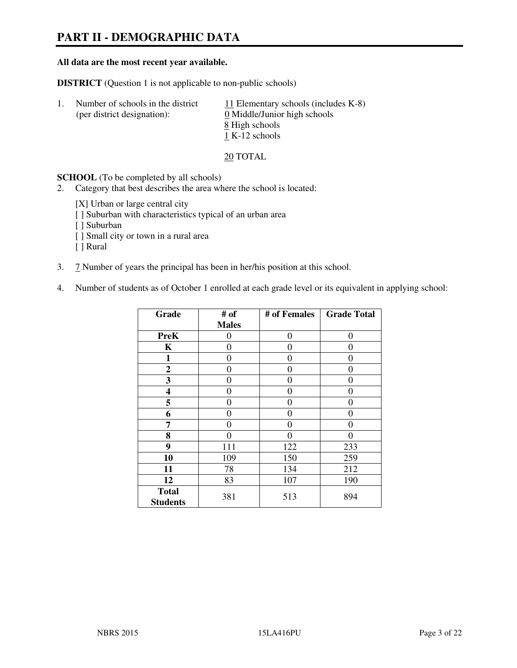# **PART II - DEMOGRAPHIC DATA**

#### **All data are the most recent year available.**

**DISTRICT** (Question 1 is not applicable to non-public schools)

| $\mathbf{L}$ | Number of schools in the district<br>(per district designation): | 11 Elementary schools (includes $K-8$ )<br>0 Middle/Junior high schools<br>8 High schools<br>1 K-12 schools |
|--------------|------------------------------------------------------------------|-------------------------------------------------------------------------------------------------------------|
|              |                                                                  |                                                                                                             |

20 TOTAL

**SCHOOL** (To be completed by all schools)

- 2. Category that best describes the area where the school is located:
	- [X] Urban or large central city
	- [ ] Suburban with characteristics typical of an urban area
	- [ ] Suburban
	- [ ] Small city or town in a rural area
	- [ ] Rural
- 3. 7 Number of years the principal has been in her/his position at this school.
- 4. Number of students as of October 1 enrolled at each grade level or its equivalent in applying school:

| Grade                           | # of         | # of Females | <b>Grade Total</b> |
|---------------------------------|--------------|--------------|--------------------|
|                                 | <b>Males</b> |              |                    |
| <b>PreK</b>                     | 0            | $\theta$     | $\theta$           |
| K                               | 0            | 0            | 0                  |
| 1                               | 0            | 0            | 0                  |
| $\mathbf{2}$                    | 0            | 0            | 0                  |
| 3                               | 0            | 0            | 0                  |
| 4                               | 0            | 0            | 0                  |
| 5                               | 0            | 0            | $\theta$           |
| 6                               | 0            | 0            | 0                  |
| 7                               | 0            | 0            | 0                  |
| 8                               | $\theta$     | 0            | 0                  |
| 9                               | 111          | 122          | 233                |
| 10                              | 109          | 150          | 259                |
| 11                              | 78           | 134          | 212                |
| 12                              | 83           | 107          | 190                |
| <b>Total</b><br><b>Students</b> | 381          | 513          | 894                |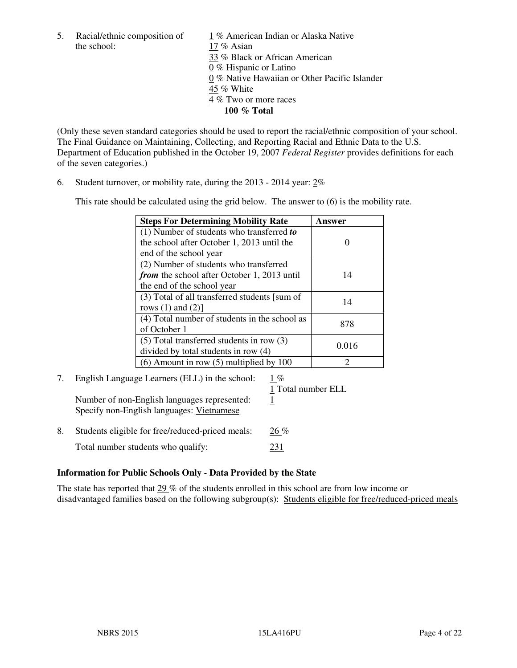the school: 17 % Asian

5. Racial/ethnic composition of  $1\%$  American Indian or Alaska Native 33 % Black or African American 0 % Hispanic or Latino 0 % Native Hawaiian or Other Pacific Islander 45 % White 4 % Two or more races **100 % Total** 

(Only these seven standard categories should be used to report the racial/ethnic composition of your school. The Final Guidance on Maintaining, Collecting, and Reporting Racial and Ethnic Data to the U.S. Department of Education published in the October 19, 2007 *Federal Register* provides definitions for each of the seven categories.)

6. Student turnover, or mobility rate, during the 2013 - 2014 year: 2%

This rate should be calculated using the grid below. The answer to (6) is the mobility rate.

| <b>Steps For Determining Mobility Rate</b>         | Answer |
|----------------------------------------------------|--------|
| $(1)$ Number of students who transferred to        |        |
| the school after October 1, 2013 until the         |        |
| end of the school year                             |        |
| (2) Number of students who transferred             |        |
| <i>from</i> the school after October 1, 2013 until | 14     |
| the end of the school year                         |        |
| (3) Total of all transferred students [sum of      | 14     |
| rows $(1)$ and $(2)$ ]                             |        |
| (4) Total number of students in the school as      | 878    |
| of October 1                                       |        |
| $(5)$ Total transferred students in row $(3)$      | 0.016  |
| divided by total students in row (4)               |        |
| $(6)$ Amount in row $(5)$ multiplied by 100        | 2      |

# 7. English Language Learners (ELL) in the school: 1 %

Number of non-English languages represented: 1 Specify non-English languages: Vietnamese

1 Total number ELL

8. Students eligible for free/reduced-priced meals:  $26\%$ Total number students who qualify: 231

# **Information for Public Schools Only - Data Provided by the State**

The state has reported that 29 % of the students enrolled in this school are from low income or disadvantaged families based on the following subgroup(s): Students eligible for free/reduced-priced meals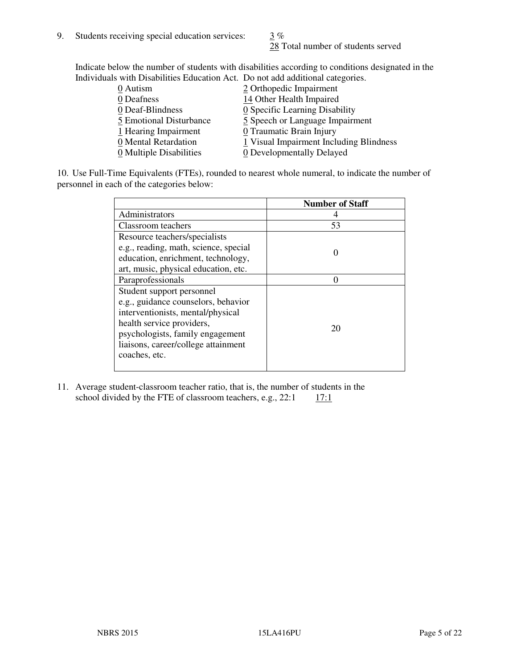28 Total number of students served

Indicate below the number of students with disabilities according to conditions designated in the Individuals with Disabilities Education Act. Do not add additional categories.

| 0 Autism                | 2 Orthopedic Impairment                      |
|-------------------------|----------------------------------------------|
| 0 Deafness              | 14 Other Health Impaired                     |
| 0 Deaf-Blindness        | $\underline{0}$ Specific Learning Disability |
| 5 Emotional Disturbance | 5 Speech or Language Impairment              |
| 1 Hearing Impairment    | 0 Traumatic Brain Injury                     |
| 0 Mental Retardation    | 1 Visual Impairment Including Blindness      |
| 0 Multiple Disabilities | 0 Developmentally Delayed                    |
|                         |                                              |

10. Use Full-Time Equivalents (FTEs), rounded to nearest whole numeral, to indicate the number of personnel in each of the categories below:

|                                       | <b>Number of Staff</b> |
|---------------------------------------|------------------------|
| Administrators                        |                        |
| Classroom teachers                    | 53                     |
| Resource teachers/specialists         |                        |
| e.g., reading, math, science, special |                        |
| education, enrichment, technology,    |                        |
| art, music, physical education, etc.  |                        |
| Paraprofessionals                     |                        |
| Student support personnel             |                        |
| e.g., guidance counselors, behavior   |                        |
| interventionists, mental/physical     |                        |
| health service providers,             | 20                     |
| psychologists, family engagement      |                        |
| liaisons, career/college attainment   |                        |
| coaches, etc.                         |                        |
|                                       |                        |

11. Average student-classroom teacher ratio, that is, the number of students in the school divided by the FTE of classroom teachers, e.g.,  $22:1 \quad 17:1$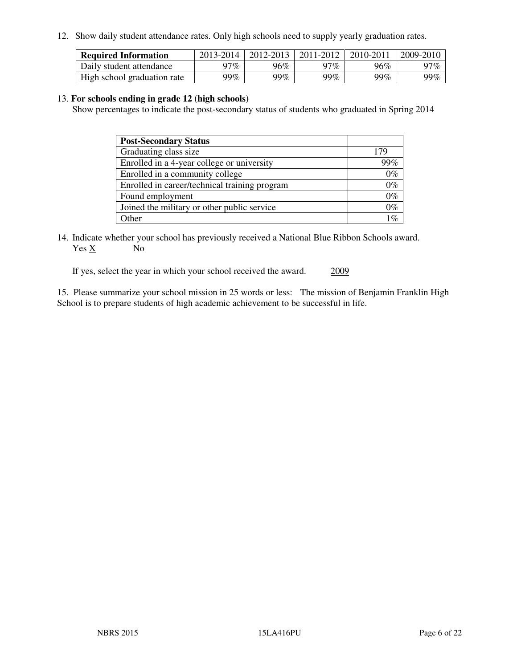12. Show daily student attendance rates. Only high schools need to supply yearly graduation rates.

| <b>Required Information</b> | 2013-2014 | 2012-2013 | 2011-2012 | 2010-2011 | 2009-2010 |
|-----------------------------|-----------|-----------|-----------|-----------|-----------|
| Daily student attendance    | 97%       | 96%       | 97%       | 96%       | 97%       |
| High school graduation rate | 99%       | 99%       | 99%       | $99\%$    | 99%       |

#### 13. **For schools ending in grade 12 (high schools)**

Show percentages to indicate the post-secondary status of students who graduated in Spring 2014

| <b>Post-Secondary Status</b>                  |       |
|-----------------------------------------------|-------|
| Graduating class size                         | 179   |
| Enrolled in a 4-year college or university    | 99%   |
| Enrolled in a community college               | $0\%$ |
| Enrolled in career/technical training program | $0\%$ |
| Found employment                              | $0\%$ |
| Joined the military or other public service   | $0\%$ |
| Other                                         | $1\%$ |

14. Indicate whether your school has previously received a National Blue Ribbon Schools award. Yes X No

If yes, select the year in which your school received the award. 2009

15. Please summarize your school mission in 25 words or less: The mission of Benjamin Franklin High School is to prepare students of high academic achievement to be successful in life.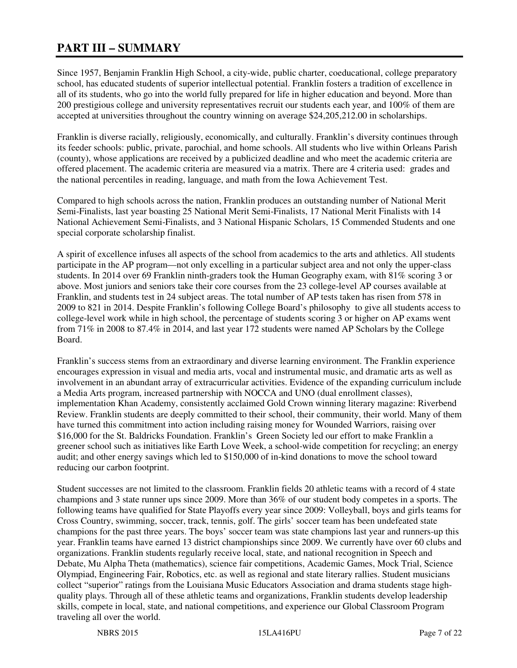# **PART III – SUMMARY**

Since 1957, Benjamin Franklin High School, a city-wide, public charter, coeducational, college preparatory school, has educated students of superior intellectual potential. Franklin fosters a tradition of excellence in all of its students, who go into the world fully prepared for life in higher education and beyond. More than 200 prestigious college and university representatives recruit our students each year, and 100% of them are accepted at universities throughout the country winning on average \$24,205,212.00 in scholarships.

Franklin is diverse racially, religiously, economically, and culturally. Franklin's diversity continues through its feeder schools: public, private, parochial, and home schools. All students who live within Orleans Parish (county), whose applications are received by a publicized deadline and who meet the academic criteria are offered placement. The academic criteria are measured via a matrix. There are 4 criteria used: grades and the national percentiles in reading, language, and math from the Iowa Achievement Test.

Compared to high schools across the nation, Franklin produces an outstanding number of National Merit Semi-Finalists, last year boasting 25 National Merit Semi-Finalists, 17 National Merit Finalists with 14 National Achievement Semi-Finalists, and 3 National Hispanic Scholars, 15 Commended Students and one special corporate scholarship finalist.

A spirit of excellence infuses all aspects of the school from academics to the arts and athletics. All students participate in the AP program—not only excelling in a particular subject area and not only the upper-class students. In 2014 over 69 Franklin ninth-graders took the Human Geography exam, with 81% scoring 3 or above. Most juniors and seniors take their core courses from the 23 college-level AP courses available at Franklin, and students test in 24 subject areas. The total number of AP tests taken has risen from 578 in 2009 to 821 in 2014. Despite Franklin's following College Board's philosophy to give all students access to college-level work while in high school, the percentage of students scoring 3 or higher on AP exams went from 71% in 2008 to 87.4% in 2014, and last year 172 students were named AP Scholars by the College Board.

Franklin's success stems from an extraordinary and diverse learning environment. The Franklin experience encourages expression in visual and media arts, vocal and instrumental music, and dramatic arts as well as involvement in an abundant array of extracurricular activities. Evidence of the expanding curriculum include a Media Arts program, increased partnership with NOCCA and UNO (dual enrollment classes), implementation Khan Academy, consistently acclaimed Gold Crown winning literary magazine: Riverbend Review. Franklin students are deeply committed to their school, their community, their world. Many of them have turned this commitment into action including raising money for Wounded Warriors, raising over \$16,000 for the St. Baldricks Foundation. Franklin's Green Society led our effort to make Franklin a greener school such as initiatives like Earth Love Week, a school-wide competition for recycling; an energy audit; and other energy savings which led to \$150,000 of in-kind donations to move the school toward reducing our carbon footprint.

Student successes are not limited to the classroom. Franklin fields 20 athletic teams with a record of 4 state champions and 3 state runner ups since 2009. More than 36% of our student body competes in a sports. The following teams have qualified for State Playoffs every year since 2009: Volleyball, boys and girls teams for Cross Country, swimming, soccer, track, tennis, golf. The girls' soccer team has been undefeated state champions for the past three years. The boys' soccer team was state champions last year and runners-up this year. Franklin teams have earned 13 district championships since 2009. We currently have over 60 clubs and organizations. Franklin students regularly receive local, state, and national recognition in Speech and Debate, Mu Alpha Theta (mathematics), science fair competitions, Academic Games, Mock Trial, Science Olympiad, Engineering Fair, Robotics, etc. as well as regional and state literary rallies. Student musicians collect "superior" ratings from the Louisiana Music Educators Association and drama students stage highquality plays. Through all of these athletic teams and organizations, Franklin students develop leadership skills, compete in local, state, and national competitions, and experience our Global Classroom Program traveling all over the world.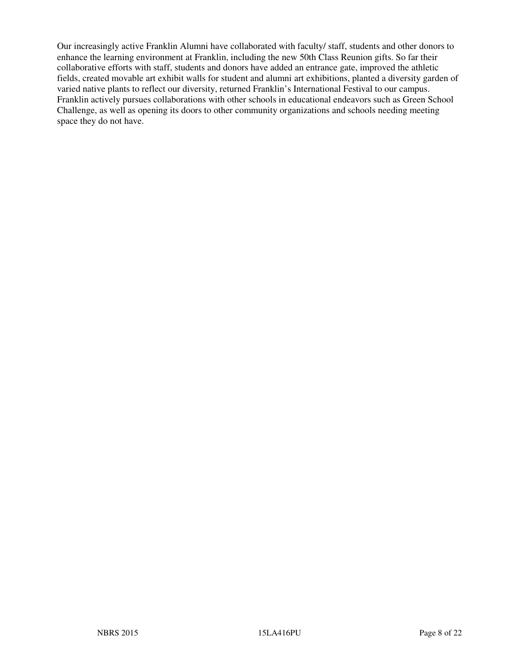Our increasingly active Franklin Alumni have collaborated with faculty/ staff, students and other donors to enhance the learning environment at Franklin, including the new 50th Class Reunion gifts. So far their collaborative efforts with staff, students and donors have added an entrance gate, improved the athletic fields, created movable art exhibit walls for student and alumni art exhibitions, planted a diversity garden of varied native plants to reflect our diversity, returned Franklin's International Festival to our campus. Franklin actively pursues collaborations with other schools in educational endeavors such as Green School Challenge, as well as opening its doors to other community organizations and schools needing meeting space they do not have.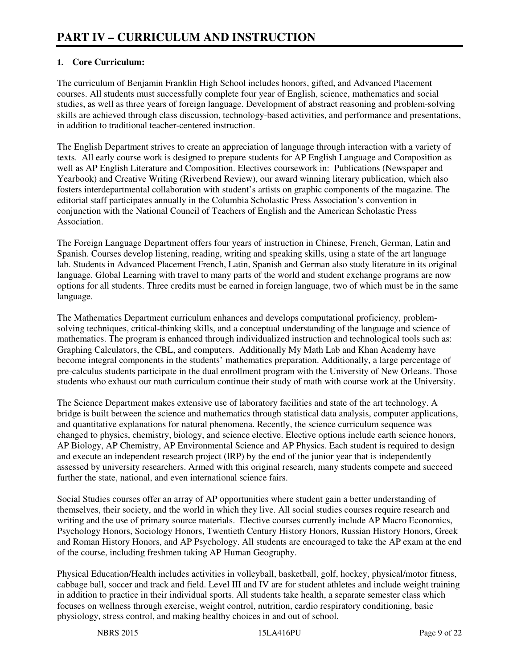# **1. Core Curriculum:**

The curriculum of Benjamin Franklin High School includes honors, gifted, and Advanced Placement courses. All students must successfully complete four year of English, science, mathematics and social studies, as well as three years of foreign language. Development of abstract reasoning and problem-solving skills are achieved through class discussion, technology-based activities, and performance and presentations, in addition to traditional teacher-centered instruction.

The English Department strives to create an appreciation of language through interaction with a variety of texts. All early course work is designed to prepare students for AP English Language and Composition as well as AP English Literature and Composition. Electives coursework in: Publications (Newspaper and Yearbook) and Creative Writing (Riverbend Review), our award winning literary publication, which also fosters interdepartmental collaboration with student's artists on graphic components of the magazine. The editorial staff participates annually in the Columbia Scholastic Press Association's convention in conjunction with the National Council of Teachers of English and the American Scholastic Press Association.

The Foreign Language Department offers four years of instruction in Chinese, French, German, Latin and Spanish. Courses develop listening, reading, writing and speaking skills, using a state of the art language lab. Students in Advanced Placement French, Latin, Spanish and German also study literature in its original language. Global Learning with travel to many parts of the world and student exchange programs are now options for all students. Three credits must be earned in foreign language, two of which must be in the same language.

The Mathematics Department curriculum enhances and develops computational proficiency, problemsolving techniques, critical-thinking skills, and a conceptual understanding of the language and science of mathematics. The program is enhanced through individualized instruction and technological tools such as: Graphing Calculators, the CBL, and computers. Additionally My Math Lab and Khan Academy have become integral components in the students' mathematics preparation. Additionally, a large percentage of pre-calculus students participate in the dual enrollment program with the University of New Orleans. Those students who exhaust our math curriculum continue their study of math with course work at the University.

The Science Department makes extensive use of laboratory facilities and state of the art technology. A bridge is built between the science and mathematics through statistical data analysis, computer applications, and quantitative explanations for natural phenomena. Recently, the science curriculum sequence was changed to physics, chemistry, biology, and science elective. Elective options include earth science honors, AP Biology, AP Chemistry, AP Environmental Science and AP Physics. Each student is required to design and execute an independent research project (IRP) by the end of the junior year that is independently assessed by university researchers. Armed with this original research, many students compete and succeed further the state, national, and even international science fairs.

Social Studies courses offer an array of AP opportunities where student gain a better understanding of themselves, their society, and the world in which they live. All social studies courses require research and writing and the use of primary source materials. Elective courses currently include AP Macro Economics, Psychology Honors, Sociology Honors, Twentieth Century History Honors, Russian History Honors, Greek and Roman History Honors, and AP Psychology. All students are encouraged to take the AP exam at the end of the course, including freshmen taking AP Human Geography.

Physical Education/Health includes activities in volleyball, basketball, golf, hockey, physical/motor fitness, cabbage ball, soccer and track and field. Level III and IV are for student athletes and include weight training in addition to practice in their individual sports. All students take health, a separate semester class which focuses on wellness through exercise, weight control, nutrition, cardio respiratory conditioning, basic physiology, stress control, and making healthy choices in and out of school.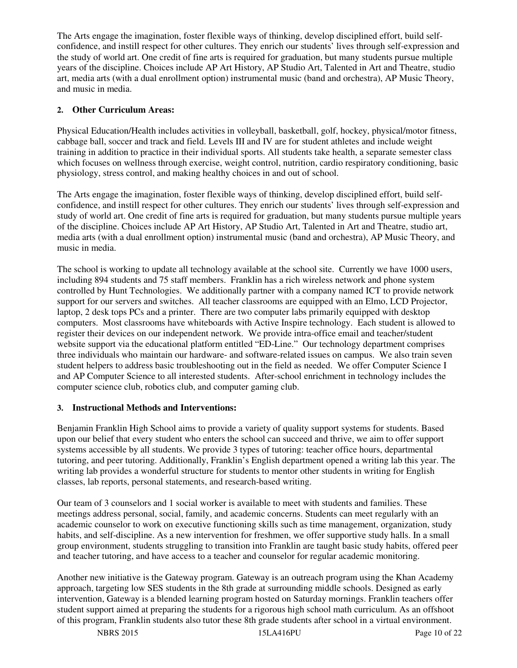The Arts engage the imagination, foster flexible ways of thinking, develop disciplined effort, build selfconfidence, and instill respect for other cultures. They enrich our students' lives through self-expression and the study of world art. One credit of fine arts is required for graduation, but many students pursue multiple years of the discipline. Choices include AP Art History, AP Studio Art, Talented in Art and Theatre, studio art, media arts (with a dual enrollment option) instrumental music (band and orchestra), AP Music Theory, and music in media.

# **2. Other Curriculum Areas:**

Physical Education/Health includes activities in volleyball, basketball, golf, hockey, physical/motor fitness, cabbage ball, soccer and track and field. Levels III and IV are for student athletes and include weight training in addition to practice in their individual sports. All students take health, a separate semester class which focuses on wellness through exercise, weight control, nutrition, cardio respiratory conditioning, basic physiology, stress control, and making healthy choices in and out of school.

The Arts engage the imagination, foster flexible ways of thinking, develop disciplined effort, build selfconfidence, and instill respect for other cultures. They enrich our students' lives through self-expression and study of world art. One credit of fine arts is required for graduation, but many students pursue multiple years of the discipline. Choices include AP Art History, AP Studio Art, Talented in Art and Theatre, studio art, media arts (with a dual enrollment option) instrumental music (band and orchestra), AP Music Theory, and music in media.

The school is working to update all technology available at the school site. Currently we have 1000 users, including 894 students and 75 staff members. Franklin has a rich wireless network and phone system controlled by Hunt Technologies. We additionally partner with a company named ICT to provide network support for our servers and switches. All teacher classrooms are equipped with an Elmo, LCD Projector, laptop, 2 desk tops PCs and a printer. There are two computer labs primarily equipped with desktop computers. Most classrooms have whiteboards with Active Inspire technology. Each student is allowed to register their devices on our independent network. We provide intra-office email and teacher/student website support via the educational platform entitled "ED-Line." Our technology department comprises three individuals who maintain our hardware- and software-related issues on campus. We also train seven student helpers to address basic troubleshooting out in the field as needed. We offer Computer Science I and AP Computer Science to all interested students. After-school enrichment in technology includes the computer science club, robotics club, and computer gaming club.

#### **3. Instructional Methods and Interventions:**

Benjamin Franklin High School aims to provide a variety of quality support systems for students. Based upon our belief that every student who enters the school can succeed and thrive, we aim to offer support systems accessible by all students. We provide 3 types of tutoring: teacher office hours, departmental tutoring, and peer tutoring. Additionally, Franklin's English department opened a writing lab this year. The writing lab provides a wonderful structure for students to mentor other students in writing for English classes, lab reports, personal statements, and research-based writing.

Our team of 3 counselors and 1 social worker is available to meet with students and families. These meetings address personal, social, family, and academic concerns. Students can meet regularly with an academic counselor to work on executive functioning skills such as time management, organization, study habits, and self-discipline. As a new intervention for freshmen, we offer supportive study halls. In a small group environment, students struggling to transition into Franklin are taught basic study habits, offered peer and teacher tutoring, and have access to a teacher and counselor for regular academic monitoring.

Another new initiative is the Gateway program. Gateway is an outreach program using the Khan Academy approach, targeting low SES students in the 8th grade at surrounding middle schools. Designed as early intervention, Gateway is a blended learning program hosted on Saturday mornings. Franklin teachers offer student support aimed at preparing the students for a rigorous high school math curriculum. As an offshoot of this program, Franklin students also tutor these 8th grade students after school in a virtual environment.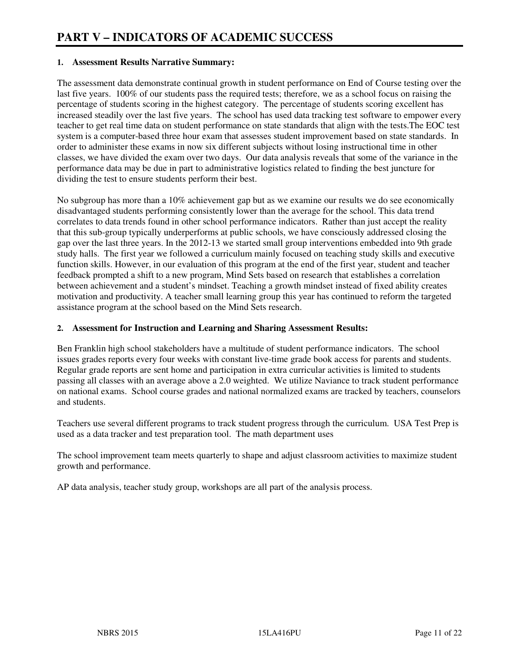#### **1. Assessment Results Narrative Summary:**

The assessment data demonstrate continual growth in student performance on End of Course testing over the last five years. 100% of our students pass the required tests; therefore, we as a school focus on raising the percentage of students scoring in the highest category. The percentage of students scoring excellent has increased steadily over the last five years. The school has used data tracking test software to empower every teacher to get real time data on student performance on state standards that align with the tests.The EOC test system is a computer-based three hour exam that assesses student improvement based on state standards. In order to administer these exams in now six different subjects without losing instructional time in other classes, we have divided the exam over two days. Our data analysis reveals that some of the variance in the performance data may be due in part to administrative logistics related to finding the best juncture for dividing the test to ensure students perform their best.

No subgroup has more than a 10% achievement gap but as we examine our results we do see economically disadvantaged students performing consistently lower than the average for the school. This data trend correlates to data trends found in other school performance indicators. Rather than just accept the reality that this sub-group typically underperforms at public schools, we have consciously addressed closing the gap over the last three years. In the 2012-13 we started small group interventions embedded into 9th grade study halls. The first year we followed a curriculum mainly focused on teaching study skills and executive function skills. However, in our evaluation of this program at the end of the first year, student and teacher feedback prompted a shift to a new program, Mind Sets based on research that establishes a correlation between achievement and a student's mindset. Teaching a growth mindset instead of fixed ability creates motivation and productivity. A teacher small learning group this year has continued to reform the targeted assistance program at the school based on the Mind Sets research.

#### **2. Assessment for Instruction and Learning and Sharing Assessment Results:**

Ben Franklin high school stakeholders have a multitude of student performance indicators. The school issues grades reports every four weeks with constant live-time grade book access for parents and students. Regular grade reports are sent home and participation in extra curricular activities is limited to students passing all classes with an average above a 2.0 weighted. We utilize Naviance to track student performance on national exams. School course grades and national normalized exams are tracked by teachers, counselors and students.

Teachers use several different programs to track student progress through the curriculum. USA Test Prep is used as a data tracker and test preparation tool. The math department uses

The school improvement team meets quarterly to shape and adjust classroom activities to maximize student growth and performance.

AP data analysis, teacher study group, workshops are all part of the analysis process.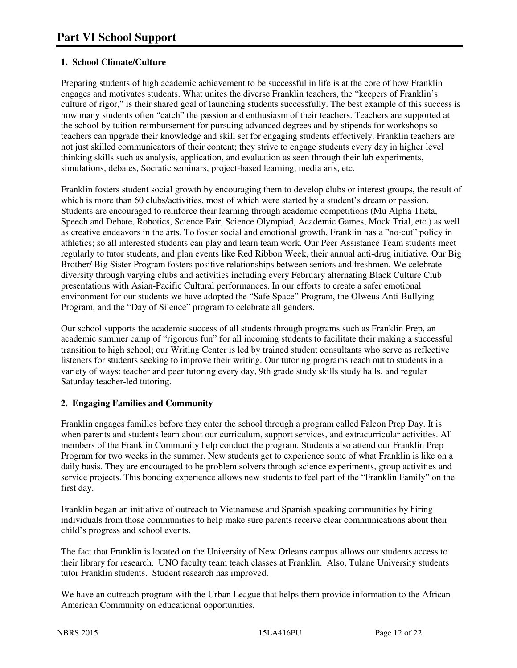# **1. School Climate/Culture**

Preparing students of high academic achievement to be successful in life is at the core of how Franklin engages and motivates students. What unites the diverse Franklin teachers, the "keepers of Franklin's culture of rigor," is their shared goal of launching students successfully. The best example of this success is how many students often "catch" the passion and enthusiasm of their teachers. Teachers are supported at the school by tuition reimbursement for pursuing advanced degrees and by stipends for workshops so teachers can upgrade their knowledge and skill set for engaging students effectively. Franklin teachers are not just skilled communicators of their content; they strive to engage students every day in higher level thinking skills such as analysis, application, and evaluation as seen through their lab experiments, simulations, debates, Socratic seminars, project-based learning, media arts, etc.

Franklin fosters student social growth by encouraging them to develop clubs or interest groups, the result of which is more than 60 clubs/activities, most of which were started by a student's dream or passion. Students are encouraged to reinforce their learning through academic competitions (Mu Alpha Theta, Speech and Debate, Robotics, Science Fair, Science Olympiad, Academic Games, Mock Trial, etc.) as well as creative endeavors in the arts. To foster social and emotional growth, Franklin has a "no-cut" policy in athletics; so all interested students can play and learn team work. Our Peer Assistance Team students meet regularly to tutor students, and plan events like Red Ribbon Week, their annual anti-drug initiative. Our Big Brother/ Big Sister Program fosters positive relationships between seniors and freshmen. We celebrate diversity through varying clubs and activities including every February alternating Black Culture Club presentations with Asian-Pacific Cultural performances. In our efforts to create a safer emotional environment for our students we have adopted the "Safe Space" Program, the Olweus Anti-Bullying Program, and the "Day of Silence" program to celebrate all genders.

Our school supports the academic success of all students through programs such as Franklin Prep, an academic summer camp of "rigorous fun" for all incoming students to facilitate their making a successful transition to high school; our Writing Center is led by trained student consultants who serve as reflective listeners for students seeking to improve their writing. Our tutoring programs reach out to students in a variety of ways: teacher and peer tutoring every day, 9th grade study skills study halls, and regular Saturday teacher-led tutoring.

# **2. Engaging Families and Community**

Franklin engages families before they enter the school through a program called Falcon Prep Day. It is when parents and students learn about our curriculum, support services, and extracurricular activities. All members of the Franklin Community help conduct the program. Students also attend our Franklin Prep Program for two weeks in the summer. New students get to experience some of what Franklin is like on a daily basis. They are encouraged to be problem solvers through science experiments, group activities and service projects. This bonding experience allows new students to feel part of the "Franklin Family" on the first day.

Franklin began an initiative of outreach to Vietnamese and Spanish speaking communities by hiring individuals from those communities to help make sure parents receive clear communications about their child's progress and school events.

The fact that Franklin is located on the University of New Orleans campus allows our students access to their library for research. UNO faculty team teach classes at Franklin. Also, Tulane University students tutor Franklin students. Student research has improved.

We have an outreach program with the Urban League that helps them provide information to the African American Community on educational opportunities.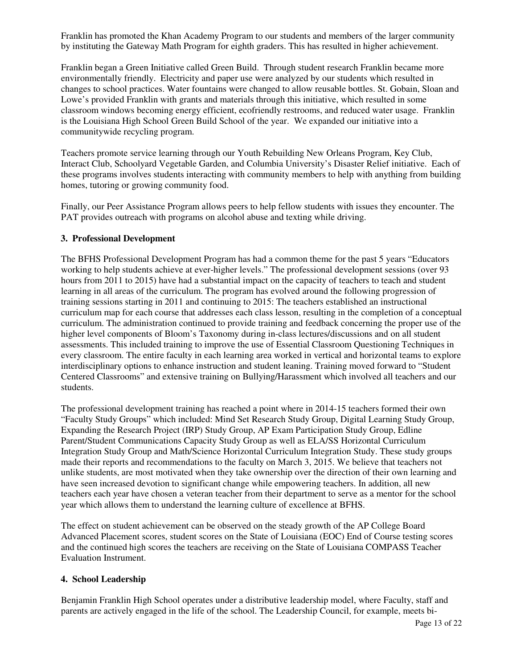Franklin has promoted the Khan Academy Program to our students and members of the larger community by instituting the Gateway Math Program for eighth graders. This has resulted in higher achievement.

Franklin began a Green Initiative called Green Build. Through student research Franklin became more environmentally friendly. Electricity and paper use were analyzed by our students which resulted in changes to school practices. Water fountains were changed to allow reusable bottles. St. Gobain, Sloan and Lowe's provided Franklin with grants and materials through this initiative, which resulted in some classroom windows becoming energy efficient, ecofriendly restrooms, and reduced water usage. Franklin is the Louisiana High School Green Build School of the year. We expanded our initiative into a communitywide recycling program.

Teachers promote service learning through our Youth Rebuilding New Orleans Program, Key Club, Interact Club, Schoolyard Vegetable Garden, and Columbia University's Disaster Relief initiative. Each of these programs involves students interacting with community members to help with anything from building homes, tutoring or growing community food.

Finally, our Peer Assistance Program allows peers to help fellow students with issues they encounter. The PAT provides outreach with programs on alcohol abuse and texting while driving.

#### **3. Professional Development**

The BFHS Professional Development Program has had a common theme for the past 5 years "Educators working to help students achieve at ever-higher levels." The professional development sessions (over 93 hours from 2011 to 2015) have had a substantial impact on the capacity of teachers to teach and student learning in all areas of the curriculum. The program has evolved around the following progression of training sessions starting in 2011 and continuing to 2015: The teachers established an instructional curriculum map for each course that addresses each class lesson, resulting in the completion of a conceptual curriculum. The administration continued to provide training and feedback concerning the proper use of the higher level components of Bloom's Taxonomy during in-class lectures/discussions and on all student assessments. This included training to improve the use of Essential Classroom Questioning Techniques in every classroom. The entire faculty in each learning area worked in vertical and horizontal teams to explore interdisciplinary options to enhance instruction and student leaning. Training moved forward to "Student Centered Classrooms" and extensive training on Bullying/Harassment which involved all teachers and our students.

The professional development training has reached a point where in 2014-15 teachers formed their own "Faculty Study Groups" which included: Mind Set Research Study Group, Digital Learning Study Group, Expanding the Research Project (IRP) Study Group, AP Exam Participation Study Group, Edline Parent/Student Communications Capacity Study Group as well as ELA/SS Horizontal Curriculum Integration Study Group and Math/Science Horizontal Curriculum Integration Study. These study groups made their reports and recommendations to the faculty on March 3, 2015. We believe that teachers not unlike students, are most motivated when they take ownership over the direction of their own learning and have seen increased devotion to significant change while empowering teachers. In addition, all new teachers each year have chosen a veteran teacher from their department to serve as a mentor for the school year which allows them to understand the learning culture of excellence at BFHS.

The effect on student achievement can be observed on the steady growth of the AP College Board Advanced Placement scores, student scores on the State of Louisiana (EOC) End of Course testing scores and the continued high scores the teachers are receiving on the State of Louisiana COMPASS Teacher Evaluation Instrument.

#### **4. School Leadership**

Benjamin Franklin High School operates under a distributive leadership model, where Faculty, staff and parents are actively engaged in the life of the school. The Leadership Council, for example, meets bi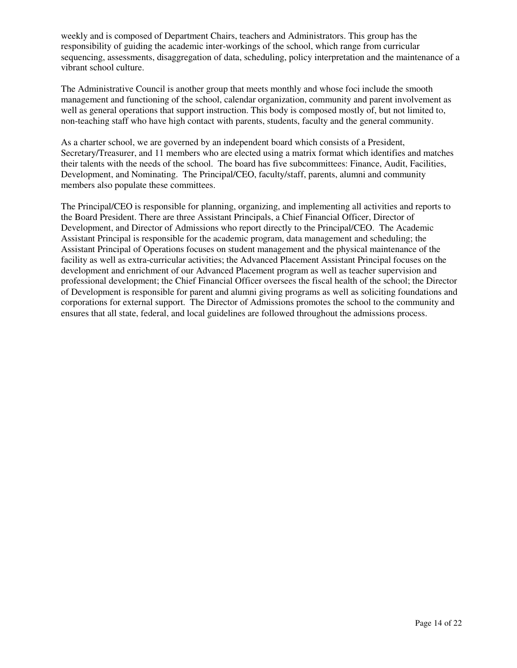weekly and is composed of Department Chairs, teachers and Administrators. This group has the responsibility of guiding the academic inter-workings of the school, which range from curricular sequencing, assessments, disaggregation of data, scheduling, policy interpretation and the maintenance of a vibrant school culture.

The Administrative Council is another group that meets monthly and whose foci include the smooth management and functioning of the school, calendar organization, community and parent involvement as well as general operations that support instruction. This body is composed mostly of, but not limited to, non-teaching staff who have high contact with parents, students, faculty and the general community.

As a charter school, we are governed by an independent board which consists of a President, Secretary/Treasurer, and 11 members who are elected using a matrix format which identifies and matches their talents with the needs of the school. The board has five subcommittees: Finance, Audit, Facilities, Development, and Nominating. The Principal/CEO, faculty/staff, parents, alumni and community members also populate these committees.

The Principal/CEO is responsible for planning, organizing, and implementing all activities and reports to the Board President. There are three Assistant Principals, a Chief Financial Officer, Director of Development, and Director of Admissions who report directly to the Principal/CEO. The Academic Assistant Principal is responsible for the academic program, data management and scheduling; the Assistant Principal of Operations focuses on student management and the physical maintenance of the facility as well as extra-curricular activities; the Advanced Placement Assistant Principal focuses on the development and enrichment of our Advanced Placement program as well as teacher supervision and professional development; the Chief Financial Officer oversees the fiscal health of the school; the Director of Development is responsible for parent and alumni giving programs as well as soliciting foundations and corporations for external support. The Director of Admissions promotes the school to the community and ensures that all state, federal, and local guidelines are followed throughout the admissions process.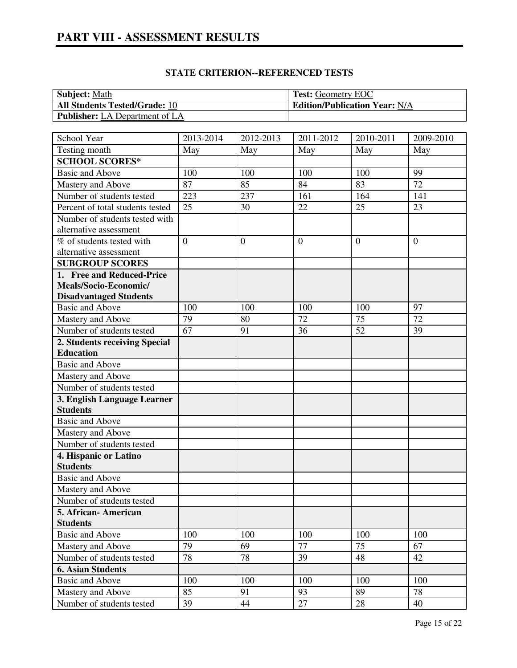| <b>Subject: Math</b>                  | <b>Test: Geometry EOC</b>            |
|---------------------------------------|--------------------------------------|
| <b>All Students Tested/Grade: 10</b>  | <b>Edition/Publication Year: N/A</b> |
| <b>Publisher:</b> LA Department of LA |                                      |

# **STATE CRITERION--REFERENCED TESTS**

| School Year                      | 2013-2014 | 2012-2013      | 2011-2012      | 2010-2011      | 2009-2010      |
|----------------------------------|-----------|----------------|----------------|----------------|----------------|
| Testing month                    | May       | May            | May            | May            | May            |
| <b>SCHOOL SCORES*</b>            |           |                |                |                |                |
| <b>Basic and Above</b>           | 100       | 100            | 100            | 100            | 99             |
| Mastery and Above                | 87        | 85             | 84             | 83             | 72             |
| Number of students tested        | 223       | 237            | 161            | 164            | 141            |
| Percent of total students tested | 25        | 30             | 22             | 25             | 23             |
| Number of students tested with   |           |                |                |                |                |
| alternative assessment           |           |                |                |                |                |
| % of students tested with        | $\theta$  | $\overline{0}$ | $\overline{0}$ | $\overline{0}$ | $\overline{0}$ |
| alternative assessment           |           |                |                |                |                |
| <b>SUBGROUP SCORES</b>           |           |                |                |                |                |
| 1. Free and Reduced-Price        |           |                |                |                |                |
| Meals/Socio-Economic/            |           |                |                |                |                |
| <b>Disadvantaged Students</b>    |           |                |                |                |                |
| <b>Basic and Above</b>           | 100       | 100            | 100            | 100            | 97             |
| Mastery and Above                | 79        | 80             | 72             | 75             | 72             |
| Number of students tested        | 67        | 91             | 36             | 52             | 39             |
| 2. Students receiving Special    |           |                |                |                |                |
| <b>Education</b>                 |           |                |                |                |                |
| <b>Basic and Above</b>           |           |                |                |                |                |
| Mastery and Above                |           |                |                |                |                |
| Number of students tested        |           |                |                |                |                |
| 3. English Language Learner      |           |                |                |                |                |
| <b>Students</b>                  |           |                |                |                |                |
| <b>Basic and Above</b>           |           |                |                |                |                |
| Mastery and Above                |           |                |                |                |                |
| Number of students tested        |           |                |                |                |                |
| 4. Hispanic or Latino            |           |                |                |                |                |
| <b>Students</b>                  |           |                |                |                |                |
| <b>Basic and Above</b>           |           |                |                |                |                |
| Mastery and Above                |           |                |                |                |                |
| Number of students tested        |           |                |                |                |                |
| 5. African- American             |           |                |                |                |                |
| <b>Students</b>                  |           |                |                |                |                |
| <b>Basic and Above</b>           | 100       | 100            | 100            | 100            | 100            |
| Mastery and Above                | 79        | 69             | 77             | 75             | 67             |
| Number of students tested        | 78        | 78             | 39             | 48             | 42             |
| <b>6. Asian Students</b>         |           |                |                |                |                |
| <b>Basic and Above</b>           | 100       | 100            | 100            | 100            | 100            |
| Mastery and Above                | 85        | 91             | 93             | 89             | 78             |
| Number of students tested        | 39        | 44             | 27             | 28             | 40             |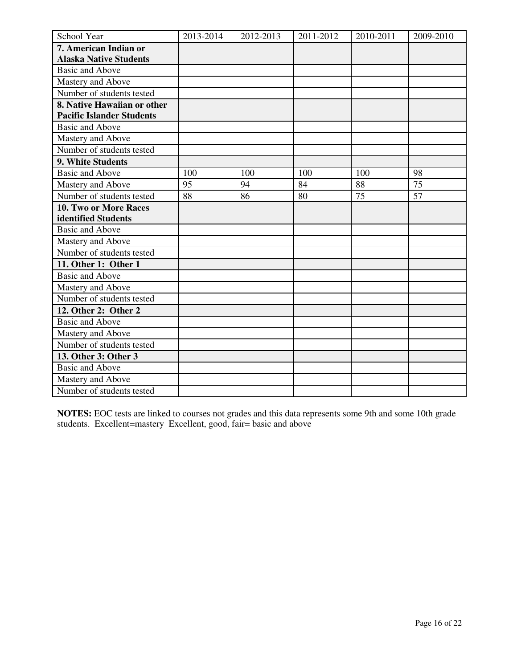| School Year                      | 2013-2014 | 2012-2013 | 2011-2012 | 2010-2011 | 2009-2010       |
|----------------------------------|-----------|-----------|-----------|-----------|-----------------|
| 7. American Indian or            |           |           |           |           |                 |
| <b>Alaska Native Students</b>    |           |           |           |           |                 |
| <b>Basic and Above</b>           |           |           |           |           |                 |
| Mastery and Above                |           |           |           |           |                 |
| Number of students tested        |           |           |           |           |                 |
| 8. Native Hawaiian or other      |           |           |           |           |                 |
| <b>Pacific Islander Students</b> |           |           |           |           |                 |
| <b>Basic and Above</b>           |           |           |           |           |                 |
| Mastery and Above                |           |           |           |           |                 |
| Number of students tested        |           |           |           |           |                 |
| 9. White Students                |           |           |           |           |                 |
| <b>Basic and Above</b>           | 100       | 100       | 100       | 100       | 98              |
| Mastery and Above                | 95        | 94        | 84        | 88        | $\overline{75}$ |
| Number of students tested        | 88        | 86        | 80        | 75        | 57              |
| 10. Two or More Races            |           |           |           |           |                 |
| identified Students              |           |           |           |           |                 |
| <b>Basic and Above</b>           |           |           |           |           |                 |
| Mastery and Above                |           |           |           |           |                 |
| Number of students tested        |           |           |           |           |                 |
| 11. Other 1: Other 1             |           |           |           |           |                 |
| <b>Basic and Above</b>           |           |           |           |           |                 |
| Mastery and Above                |           |           |           |           |                 |
| Number of students tested        |           |           |           |           |                 |
| 12. Other 2: Other 2             |           |           |           |           |                 |
| <b>Basic and Above</b>           |           |           |           |           |                 |
| Mastery and Above                |           |           |           |           |                 |
| Number of students tested        |           |           |           |           |                 |
| 13. Other 3: Other 3             |           |           |           |           |                 |
| <b>Basic and Above</b>           |           |           |           |           |                 |
| Mastery and Above                |           |           |           |           |                 |
| Number of students tested        |           |           |           |           |                 |

**NOTES:** EOC tests are linked to courses not grades and this data represents some 9th and some 10th grade students. Excellent=mastery Excellent, good, fair= basic and above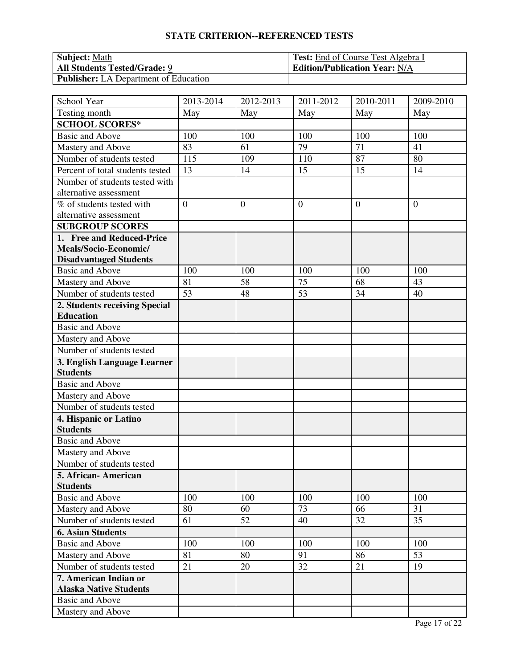# **STATE CRITERION--REFERENCED TESTS**

| <b>Subject:</b> Math                         | <b>Test:</b> End of Course Test Algebra I |
|----------------------------------------------|-------------------------------------------|
| <b>All Students Tested/Grade: 9</b>          | <b>Edition/Publication Year: N/A</b>      |
| <b>Publisher:</b> LA Department of Education |                                           |

| School Year                      | 2013-2014      | 2012-2013    | 2011-2012      | 2010-2011 | 2009-2010      |
|----------------------------------|----------------|--------------|----------------|-----------|----------------|
| Testing month                    | May            | May          | May            | May       | May            |
| <b>SCHOOL SCORES*</b>            |                |              |                |           |                |
| <b>Basic and Above</b>           | 100            | 100          | 100            | 100       | 100            |
| Mastery and Above                | 83             | 61           | 79             | 71        | 41             |
| Number of students tested        | 115            | 109          | 110            | 87        | 80             |
| Percent of total students tested | 13             | 14           | 15             | 15        | 14             |
| Number of students tested with   |                |              |                |           |                |
| alternative assessment           |                |              |                |           |                |
| % of students tested with        | $\overline{0}$ | $\mathbf{0}$ | $\overline{0}$ | $\theta$  | $\overline{0}$ |
| alternative assessment           |                |              |                |           |                |
| <b>SUBGROUP SCORES</b>           |                |              |                |           |                |
| 1. Free and Reduced-Price        |                |              |                |           |                |
| Meals/Socio-Economic/            |                |              |                |           |                |
| <b>Disadvantaged Students</b>    |                |              |                |           |                |
| <b>Basic and Above</b>           | 100            | 100          | 100            | 100       | 100            |
| Mastery and Above                | 81             | 58           | 75             | 68        | 43             |
| Number of students tested        | 53             | 48           | 53             | 34        | 40             |
| 2. Students receiving Special    |                |              |                |           |                |
| <b>Education</b>                 |                |              |                |           |                |
| <b>Basic and Above</b>           |                |              |                |           |                |
| Mastery and Above                |                |              |                |           |                |
| Number of students tested        |                |              |                |           |                |
| 3. English Language Learner      |                |              |                |           |                |
| <b>Students</b>                  |                |              |                |           |                |
| <b>Basic and Above</b>           |                |              |                |           |                |
| Mastery and Above                |                |              |                |           |                |
| Number of students tested        |                |              |                |           |                |
| 4. Hispanic or Latino            |                |              |                |           |                |
| <b>Students</b>                  |                |              |                |           |                |
| <b>Basic and Above</b>           |                |              |                |           |                |
| Mastery and Above                |                |              |                |           |                |
| Number of students tested        |                |              |                |           |                |
| 5. African- American             |                |              |                |           |                |
| <b>Students</b>                  |                |              |                |           |                |
| <b>Basic and Above</b>           | 100            | 100          | 100            | 100       | 100            |
| Mastery and Above                | 80             | 60           | 73             | 66        | 31             |
| Number of students tested        | 61             | 52           | 40             | 32        | 35             |
| <b>6. Asian Students</b>         |                |              |                |           |                |
| <b>Basic and Above</b>           | 100            | 100          | 100            | 100       | 100            |
| Mastery and Above                | 81             | 80           | 91             | 86        | 53             |
| Number of students tested        | 21             | 20           | 32             | 21        | 19             |
| 7. American Indian or            |                |              |                |           |                |
| <b>Alaska Native Students</b>    |                |              |                |           |                |
| Basic and Above                  |                |              |                |           |                |
| Mastery and Above                |                |              |                |           |                |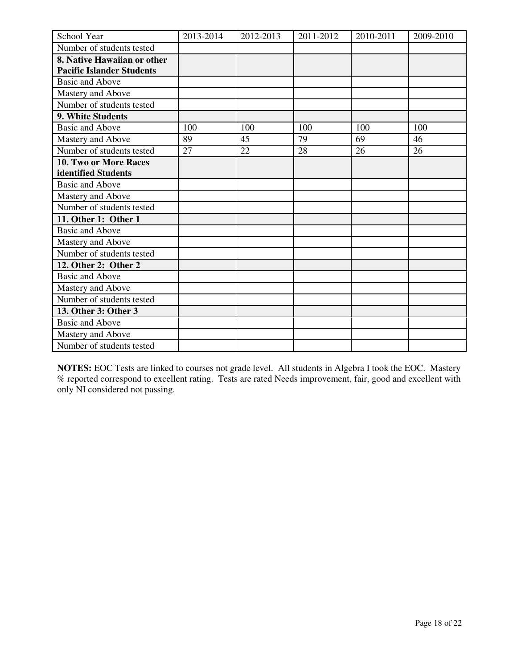| School Year                      | 2013-2014 | 2012-2013 | 2011-2012 | 2010-2011 | 2009-2010 |
|----------------------------------|-----------|-----------|-----------|-----------|-----------|
| Number of students tested        |           |           |           |           |           |
| 8. Native Hawaiian or other      |           |           |           |           |           |
| <b>Pacific Islander Students</b> |           |           |           |           |           |
| <b>Basic and Above</b>           |           |           |           |           |           |
| Mastery and Above                |           |           |           |           |           |
| Number of students tested        |           |           |           |           |           |
| 9. White Students                |           |           |           |           |           |
| <b>Basic and Above</b>           | 100       | 100       | 100       | 100       | 100       |
| Mastery and Above                | 89        | 45        | 79        | 69        | 46        |
| Number of students tested        | 27        | 22        | 28        | 26        | 26        |
| <b>10. Two or More Races</b>     |           |           |           |           |           |
| identified Students              |           |           |           |           |           |
| <b>Basic and Above</b>           |           |           |           |           |           |
| Mastery and Above                |           |           |           |           |           |
| Number of students tested        |           |           |           |           |           |
| 11. Other 1: Other 1             |           |           |           |           |           |
| <b>Basic and Above</b>           |           |           |           |           |           |
| Mastery and Above                |           |           |           |           |           |
| Number of students tested        |           |           |           |           |           |
| 12. Other 2: Other 2             |           |           |           |           |           |
| <b>Basic and Above</b>           |           |           |           |           |           |
| Mastery and Above                |           |           |           |           |           |
| Number of students tested        |           |           |           |           |           |
| 13. Other 3: Other 3             |           |           |           |           |           |
| <b>Basic and Above</b>           |           |           |           |           |           |
| Mastery and Above                |           |           |           |           |           |
| Number of students tested        |           |           |           |           |           |

**NOTES:** EOC Tests are linked to courses not grade level. All students in Algebra I took the EOC. Mastery % reported correspond to excellent rating. Tests are rated Needs improvement, fair, good and excellent with only NI considered not passing.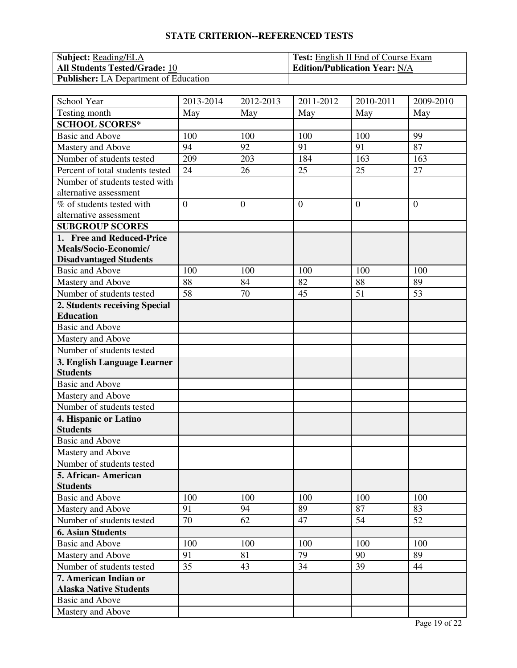# **STATE CRITERION--REFERENCED TESTS**

| <b>Subject:</b> Reading/ELA                  | <b>Test:</b> English II End of Course Exam |
|----------------------------------------------|--------------------------------------------|
| <b>All Students Tested/Grade: 10</b>         | <b>Edition/Publication Year: N/A</b>       |
| <b>Publisher:</b> LA Department of Education |                                            |

| School Year                                    | 2013-2014      | 2012-2013      | 2011-2012      | 2010-2011      | 2009-2010      |
|------------------------------------------------|----------------|----------------|----------------|----------------|----------------|
| Testing month                                  | May            | May            | May            | May            | May            |
| <b>SCHOOL SCORES*</b>                          |                |                |                |                |                |
| <b>Basic and Above</b>                         | 100            | 100            | 100            | 100            | 99             |
| Mastery and Above                              | 94             | 92             | 91             | 91             | 87             |
| Number of students tested                      | 209            | 203            | 184            | 163            | 163            |
| Percent of total students tested               | 24             | 26             | 25             | 25             | 27             |
| Number of students tested with                 |                |                |                |                |                |
| alternative assessment                         |                |                |                |                |                |
| % of students tested with                      | $\overline{0}$ | $\overline{0}$ | $\overline{0}$ | $\overline{0}$ | $\overline{0}$ |
| alternative assessment                         |                |                |                |                |                |
| <b>SUBGROUP SCORES</b>                         |                |                |                |                |                |
| 1. Free and Reduced-Price                      |                |                |                |                |                |
| Meals/Socio-Economic/                          |                |                |                |                |                |
| <b>Disadvantaged Students</b>                  |                |                |                |                |                |
| <b>Basic and Above</b>                         | 100            | 100            | 100            | 100            | 100            |
| Mastery and Above                              | 88             | 84             | 82             | 88             | 89             |
| Number of students tested                      | 58             | 70             | 45             | 51             | 53             |
| 2. Students receiving Special                  |                |                |                |                |                |
| <b>Education</b>                               |                |                |                |                |                |
| <b>Basic and Above</b>                         |                |                |                |                |                |
| Mastery and Above                              |                |                |                |                |                |
| Number of students tested                      |                |                |                |                |                |
| 3. English Language Learner<br><b>Students</b> |                |                |                |                |                |
| <b>Basic and Above</b>                         |                |                |                |                |                |
| Mastery and Above                              |                |                |                |                |                |
| Number of students tested                      |                |                |                |                |                |
| 4. Hispanic or Latino                          |                |                |                |                |                |
| <b>Students</b>                                |                |                |                |                |                |
| <b>Basic and Above</b>                         |                |                |                |                |                |
| Mastery and Above                              |                |                |                |                |                |
| Number of students tested                      |                |                |                |                |                |
| 5. African- American                           |                |                |                |                |                |
| <b>Students</b>                                |                |                |                |                |                |
| <b>Basic and Above</b>                         | 100            | 100            | 100            | 100            | 100            |
| Mastery and Above                              | 91             | 94             | 89             | 87             | 83             |
| Number of students tested                      | 70             | 62             | 47             | 54             | 52             |
| <b>6. Asian Students</b>                       |                |                |                |                |                |
| <b>Basic and Above</b>                         | 100            | 100            | 100            | 100            | 100            |
| Mastery and Above                              | 91             | 81             | 79             | 90             | 89             |
| Number of students tested                      | 35             | 43             | 34             | 39             | 44             |
| 7. American Indian or                          |                |                |                |                |                |
| <b>Alaska Native Students</b>                  |                |                |                |                |                |
| Basic and Above                                |                |                |                |                |                |
| Mastery and Above                              |                |                |                |                |                |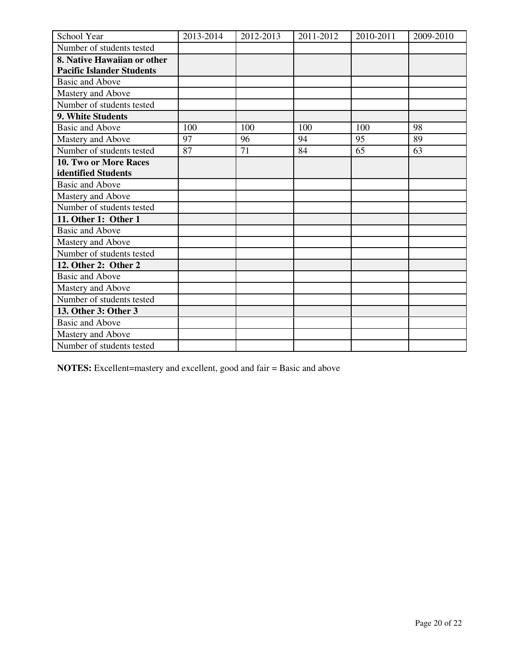| School Year                      | 2013-2014 | 2012-2013 | 2011-2012 | 2010-2011 | 2009-2010 |
|----------------------------------|-----------|-----------|-----------|-----------|-----------|
| Number of students tested        |           |           |           |           |           |
| 8. Native Hawaiian or other      |           |           |           |           |           |
| <b>Pacific Islander Students</b> |           |           |           |           |           |
| <b>Basic and Above</b>           |           |           |           |           |           |
| Mastery and Above                |           |           |           |           |           |
| Number of students tested        |           |           |           |           |           |
| 9. White Students                |           |           |           |           |           |
| <b>Basic and Above</b>           | 100       | 100       | 100       | 100       | 98        |
| Mastery and Above                | 97        | 96        | 94        | 95        | 89        |
| Number of students tested        | 87        | 71        | 84        | 65        | 63        |
| 10. Two or More Races            |           |           |           |           |           |
| identified Students              |           |           |           |           |           |
| <b>Basic and Above</b>           |           |           |           |           |           |
| Mastery and Above                |           |           |           |           |           |
| Number of students tested        |           |           |           |           |           |
| 11. Other 1: Other 1             |           |           |           |           |           |
| <b>Basic and Above</b>           |           |           |           |           |           |
| Mastery and Above                |           |           |           |           |           |
| Number of students tested        |           |           |           |           |           |
| 12. Other 2: Other 2             |           |           |           |           |           |
| <b>Basic and Above</b>           |           |           |           |           |           |
| Mastery and Above                |           |           |           |           |           |
| Number of students tested        |           |           |           |           |           |
| 13. Other 3: Other 3             |           |           |           |           |           |
| <b>Basic and Above</b>           |           |           |           |           |           |
| Mastery and Above                |           |           |           |           |           |
| Number of students tested        |           |           |           |           |           |

**NOTES:** Excellent=mastery and excellent, good and fair = Basic and above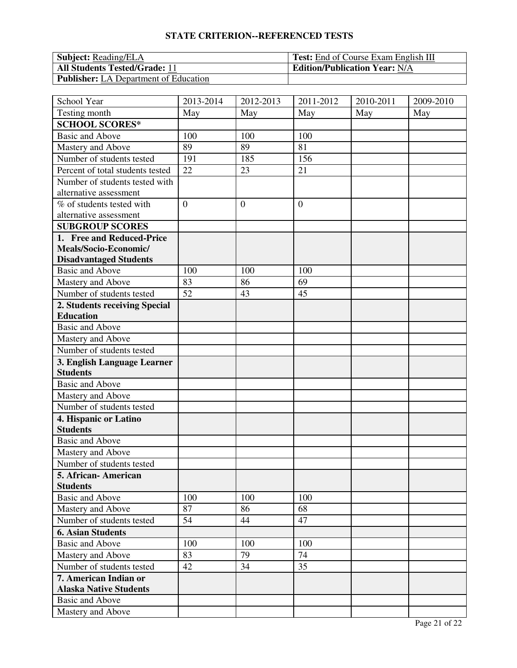# **STATE CRITERION--REFERENCED TESTS**

| <b>Subject:</b> Reading/ELA                  | <b>Test:</b> End of Course Exam English III |
|----------------------------------------------|---------------------------------------------|
| <b>All Students Tested/Grade: 11</b>         | <b>Edition/Publication Year: N/A</b>        |
| <b>Publisher:</b> LA Department of Education |                                             |

| School Year                      | 2013-2014      | 2012-2013      | 2011-2012      | 2010-2011 | 2009-2010 |
|----------------------------------|----------------|----------------|----------------|-----------|-----------|
| Testing month                    | May            | May            | May            | May       | May       |
| <b>SCHOOL SCORES*</b>            |                |                |                |           |           |
| <b>Basic and Above</b>           | 100            | 100            | 100            |           |           |
| Mastery and Above                | 89             | 89             | 81             |           |           |
| Number of students tested        | 191            | 185            | 156            |           |           |
| Percent of total students tested | 22             | 23             | 21             |           |           |
| Number of students tested with   |                |                |                |           |           |
| alternative assessment           |                |                |                |           |           |
| % of students tested with        | $\overline{0}$ | $\overline{0}$ | $\overline{0}$ |           |           |
| alternative assessment           |                |                |                |           |           |
| <b>SUBGROUP SCORES</b>           |                |                |                |           |           |
| 1. Free and Reduced-Price        |                |                |                |           |           |
| Meals/Socio-Economic/            |                |                |                |           |           |
| <b>Disadvantaged Students</b>    |                |                |                |           |           |
| <b>Basic and Above</b>           | 100            | 100            | 100            |           |           |
| Mastery and Above                | 83             | 86             | 69             |           |           |
| Number of students tested        | 52             | 43             | 45             |           |           |
| 2. Students receiving Special    |                |                |                |           |           |
| <b>Education</b>                 |                |                |                |           |           |
| <b>Basic and Above</b>           |                |                |                |           |           |
| Mastery and Above                |                |                |                |           |           |
| Number of students tested        |                |                |                |           |           |
| 3. English Language Learner      |                |                |                |           |           |
| <b>Students</b>                  |                |                |                |           |           |
| <b>Basic and Above</b>           |                |                |                |           |           |
| Mastery and Above                |                |                |                |           |           |
| Number of students tested        |                |                |                |           |           |
| 4. Hispanic or Latino            |                |                |                |           |           |
| <b>Students</b>                  |                |                |                |           |           |
| <b>Basic and Above</b>           |                |                |                |           |           |
| Mastery and Above                |                |                |                |           |           |
| Number of students tested        |                |                |                |           |           |
| 5. African-American              |                |                |                |           |           |
| <b>Students</b>                  |                |                |                |           |           |
| <b>Basic and Above</b>           | 100            | 100            | 100            |           |           |
| Mastery and Above                | 87             | 86             | 68             |           |           |
| Number of students tested        | 54             | 44             | 47             |           |           |
| <b>6. Asian Students</b>         |                |                |                |           |           |
| <b>Basic and Above</b>           | 100            | 100            | 100            |           |           |
| Mastery and Above                | 83             | 79             | 74             |           |           |
| Number of students tested        | 42             | 34             | 35             |           |           |
| 7. American Indian or            |                |                |                |           |           |
| <b>Alaska Native Students</b>    |                |                |                |           |           |
| <b>Basic and Above</b>           |                |                |                |           |           |
| Mastery and Above                |                |                |                |           |           |